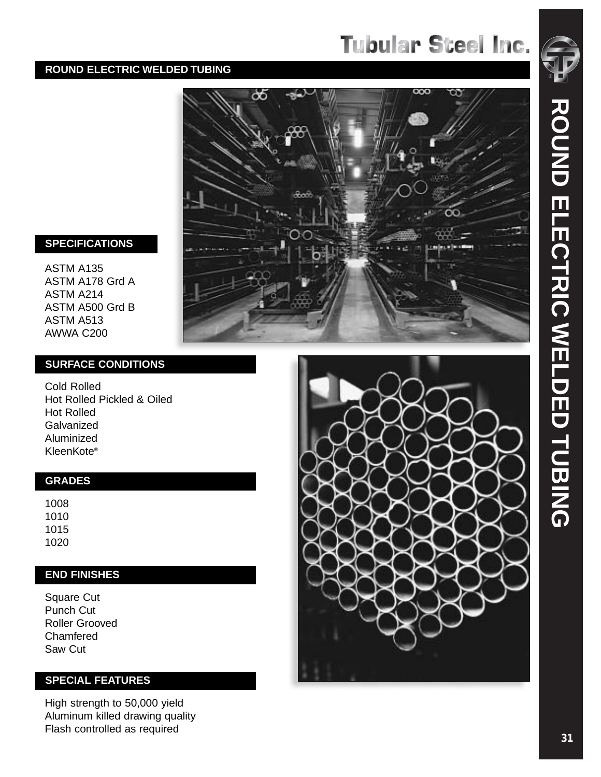## **ROUND ELECTRIC WELDED TUBING**



#### **SPECIFICATIONS**

ASTM A135 ASTM A178 Grd A ASTM A214 ASTM A500 Grd B ASTM A513 AWWA C200

#### **SURFACE CONDITIONS**

Cold Rolled Hot Rolled Pickled & Oiled Hot Rolled Galvanized Aluminized KleenKote ®

#### **GRADES**

| 1008 |  |
|------|--|
| 1010 |  |
| 1015 |  |
| 1020 |  |

### **END FINISHES**

Square Cut Punch Cut Roller Grooved Chamfered Saw Cut

### **SPECIAL FEATURES**

High strength to 50,000 yield Aluminum killed drawing quality Flash controlled as required

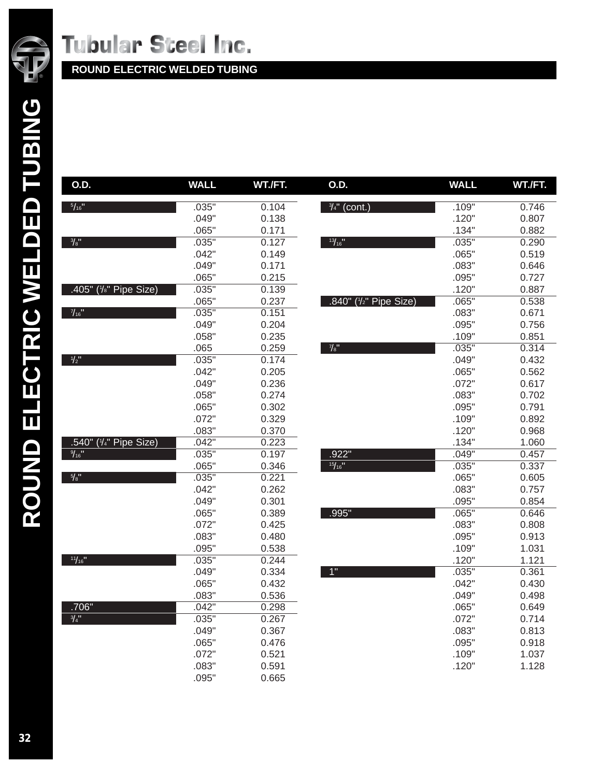

| O.D.                        | <b>WALL</b> | WT./FT. | O.D.                    | <b>WALL</b> | WT./FT. |
|-----------------------------|-------------|---------|-------------------------|-------------|---------|
| $5/16$ <sup>"</sup>         | .035"       | 0.104   | $\frac{3}{4}$ " (cont.) | .109"       | 0.746   |
|                             | .049"       | 0.138   |                         | .120"       | 0.807   |
|                             | .065"       | 0.171   |                         | .134"       | 0.882   |
| $3/8$ "                     | .035"       | 0.127   | 13/16                   | .035"       | 0.290   |
|                             | .042"       | 0.149   |                         | .065"       | 0.519   |
|                             | .049"       | 0.171   |                         | .083"       | 0.646   |
|                             | .065"       | 0.215   |                         | .095"       | 0.727   |
| .405" (1/8" Pipe Size)      | .035"       | 0.139   |                         | .120"       | 0.887   |
|                             | .065"       | 0.237   | .840" (1/2" Pipe Size)  | .065"       | 0.538   |
| 7/16                        | .035"       | 0.151   |                         | .083"       | 0.671   |
|                             | .049"       | 0.204   |                         | .095"       | 0.756   |
|                             | .058"       | 0.235   |                         | .109"       | 0.851   |
|                             | .065        | 0.259   | $7/8$ <sup>11</sup>     | .035"       | 0.314   |
| $\frac{1}{2}$               | .035"       | 0.174   |                         | .049"       | 0.432   |
|                             | .042"       | 0.205   |                         | .065"       | 0.562   |
|                             | .049"       | 0.236   |                         | .072"       | 0.617   |
|                             | .058"       | 0.274   |                         | .083"       | 0.702   |
|                             | .065"       | 0.302   |                         | .095"       | 0.791   |
|                             | .072"       | 0.329   |                         | .109"       | 0.892   |
|                             | .083"       | 0.370   |                         | .120"       | 0.968   |
| .540" (1/4" Pipe Size)      | .042"       | 0.223   |                         | .134"       | 1.060   |
| $\frac{9}{16}$ "            | .035"       | 0.197   | .922"                   | .049"       | 0.457   |
|                             | .065"       | 0.346   | $15/16$ <sup>11</sup>   | .035"       | 0.337   |
| $\frac{5}{8}$ <sup>11</sup> | .035"       | 0.221   |                         | .065"       | 0.605   |
|                             | .042"       | 0.262   |                         | .083"       | 0.757   |
|                             | .049"       | 0.301   |                         | .095"       | 0.854   |
|                             | .065"       | 0.389   | .995"                   | .065"       | 0.646   |
|                             | .072"       | 0.425   |                         | .083"       | 0.808   |
|                             | .083"       | 0.480   |                         | .095"       | 0.913   |
|                             | .095"       | 0.538   |                         | .109"       | 1.031   |
| 11/16                       | .035"       | 0.244   |                         | .120"       | 1.121   |
|                             | .049"       | 0.334   | 1"                      | .035"       | 0.361   |
|                             | .065"       | 0.432   |                         | .042"       | 0.430   |
|                             | .083"       | 0.536   |                         | .049"       | 0.498   |
| .706"                       | .042"       | 0.298   |                         | .065"       | 0.649   |
| $\frac{3}{4}$ "             | .035"       | 0.267   |                         | .072"       | 0.714   |
|                             | .049"       | 0.367   |                         | .083"       | 0.813   |
|                             | .065"       | 0.476   |                         | .095"       | 0.918   |
|                             | .072"       | 0.521   |                         | .109"       | 1.037   |
|                             | .083"       | 0.591   |                         | .120"       | 1.128   |
|                             | .095"       | 0.665   |                         |             |         |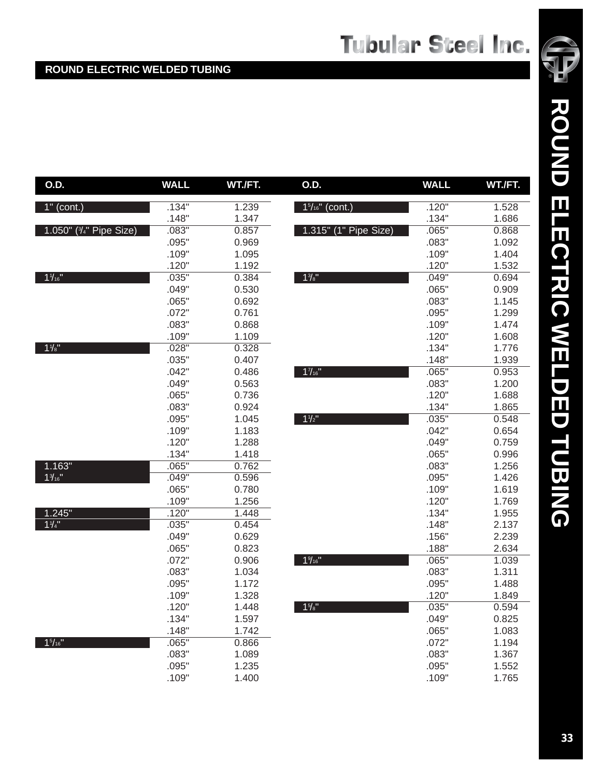| O.D.                    | <b>WALL</b> | WT./FT. | O.D.                  | <b>WALL</b> | WT./FT. |
|-------------------------|-------------|---------|-----------------------|-------------|---------|
| $1"$ (cont.)            | .134"       | 1.239   | $1^{5/16}$ " (cont.)  | .120"       | 1.528   |
|                         | .148"       | 1.347   |                       | .134"       | 1.686   |
| 1.050" (3/4" Pipe Size) | .083"       | 0.857   | 1.315" (1" Pipe Size) | .065"       | 0.868   |
|                         | .095"       | 0.969   |                       | .083"       | 1.092   |
|                         | .109"       | 1.095   |                       | .109"       | 1.404   |
|                         | .120"       | 1.192   |                       | .120"       | 1.532   |
| 11/16                   | .035"       | 0.384   | $1\frac{3}{8}$ "      | .049"       | 0.694   |
|                         | .049"       | 0.530   |                       | .065"       | 0.909   |
|                         | .065"       | 0.692   |                       | .083"       | 1.145   |
|                         | .072"       | 0.761   |                       | .095"       | 1.299   |
|                         | .083"       | 0.868   |                       | .109"       | 1.474   |
|                         | .109"       | 1.109   |                       | .120"       | 1.608   |
| $1\frac{1}{8}$          | .028"       | 0.328   |                       | .134"       | 1.776   |
|                         | .035"       | 0.407   |                       | .148"       | 1.939   |
|                         | .042"       | 0.486   | 17/16                 | .065"       | 0.953   |
|                         | .049"       | 0.563   |                       | .083"       | 1.200   |
|                         | .065"       | 0.736   |                       | .120"       | 1.688   |
|                         | .083"       | 0.924   |                       | .134"       | 1.865   |
|                         | .095"       | 1.045   | $1\frac{1}{2}$        | .035"       | 0.548   |
|                         | .109"       | 1.183   |                       | .042"       | 0.654   |
|                         | .120"       | 1.288   |                       | .049"       | 0.759   |
|                         | .134"       | 1.418   |                       | .065"       | 0.996   |
| 1.163"                  | .065"       | 0.762   |                       | .083"       | 1.256   |
| $1\frac{3}{16}$         | .049"       | 0.596   |                       | .095"       | 1.426   |
|                         | .065"       | 0.780   |                       | .109"       | 1.619   |
|                         | .109"       | 1.256   |                       | .120"       | 1.769   |
| 1.245"                  | .120"       | 1.448   |                       | .134"       | 1.955   |
| $1\frac{1}{4}$          | .035"       | 0.454   |                       | .148"       | 2.137   |
|                         | .049"       | 0.629   |                       | .156"       | 2.239   |
|                         | .065"       | 0.823   |                       | .188"       | 2.634   |
|                         | .072"       | 0.906   | $1\%$ <sup>1</sup>    | .065"       | 1.039   |
|                         | .083"       | 1.034   |                       | .083"       | 1.311   |
|                         | .095"       | 1.172   |                       | .095"       | 1.488   |
|                         | .109"       | 1.328   |                       | .120"       | 1.849   |
|                         | .120"       | 1.448   | $1\frac{5}{8}$ "      | .035"       | 0.594   |
|                         | .134"       | 1.597   |                       | .049"       | 0.825   |
|                         | .148"       | 1.742   |                       | .065"       | 1.083   |
| 15/16"                  | .065"       | 0.866   |                       | .072"       | 1.194   |
|                         | .083"       | 1.089   |                       | .083"       | 1.367   |
|                         | .095"       | 1.235   |                       | .095"       | 1.552   |
|                         | .109"       | 1.400   |                       | .109"       | 1.765   |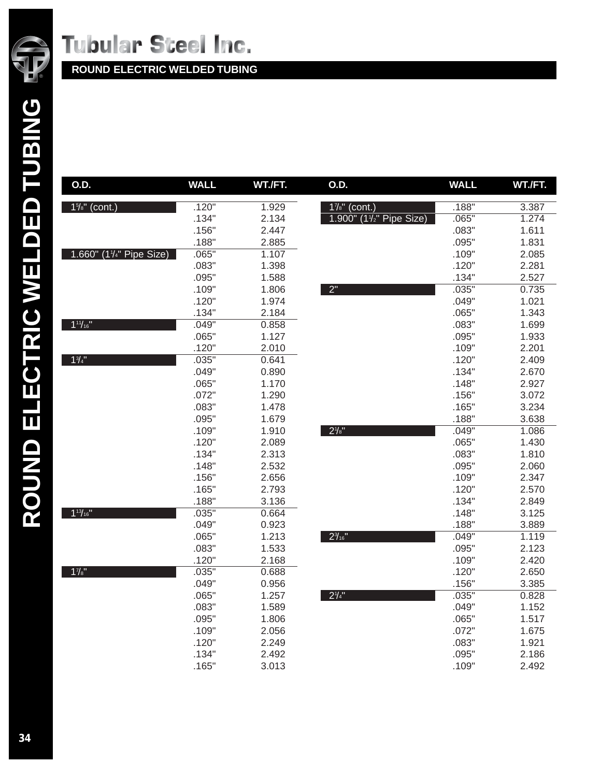

| O.D.                     | <b>WALL</b> | WT./FT. | O.D.                     | <b>WALL</b> | WT./FT. |
|--------------------------|-------------|---------|--------------------------|-------------|---------|
| 1%" (cont.)              | .120"       | 1.929   | 1%" (cont.)              | .188"       | 3.387   |
|                          | .134"       | 2.134   | 1.900" (11/2" Pipe Size) | .065"       | 1.274   |
|                          | .156"       | 2.447   |                          | .083"       | 1.611   |
|                          | .188"       | 2.885   |                          | .095"       | 1.831   |
| 1.660" (11/4" Pipe Size) | .065"       | 1.107   |                          | .109"       | 2.085   |
|                          | .083"       | 1.398   |                          | .120"       | 2.281   |
|                          | .095"       | 1.588   |                          | .134"       | 2.527   |
|                          | .109"       | 1.806   | 2"                       | .035"       | 0.735   |
|                          | .120"       | 1.974   |                          | .049"       | 1.021   |
|                          | .134"       | 2.184   |                          | .065"       | 1.343   |
| $1^{11}/16$              | .049"       | 0.858   |                          | .083"       | 1.699   |
|                          | .065"       | 1.127   |                          | .095"       | 1.933   |
|                          | .120"       | 2.010   |                          | .109"       | 2.201   |
| $1^{3}/4$                | .035"       | 0.641   |                          | .120"       | 2.409   |
|                          | .049"       | 0.890   |                          | .134"       | 2.670   |
|                          | .065"       | 1.170   |                          | .148"       | 2.927   |
|                          | .072"       | 1.290   |                          | .156"       | 3.072   |
|                          | .083"       | 1.478   |                          | .165"       | 3.234   |
|                          | .095"       | 1.679   |                          | .188"       | 3.638   |
|                          | .109"       | 1.910   | $2\frac{1}{8}$           | .049"       | 1.086   |
|                          | .120"       | 2.089   |                          | .065"       | 1.430   |
|                          | .134"       | 2.313   |                          | .083"       | 1.810   |
|                          | .148"       | 2.532   |                          | .095"       | 2.060   |
|                          | .156"       | 2.656   |                          | .109"       | 2.347   |
|                          | .165"       | 2.793   |                          | .120"       | 2.570   |
|                          | .188"       | 3.136   |                          | .134"       | 2.849   |
| $1^{13}/_{16}$ "         | .035"       | 0.664   |                          | .148"       | 3.125   |
|                          | .049"       | 0.923   |                          | .188"       | 3.889   |
|                          | .065"       | 1.213   | $2\frac{3}{16}$ "        | .049"       | 1.119   |
|                          | .083"       | 1.533   |                          | .095"       | 2.123   |
|                          | .120"       | 2.168   |                          | .109"       | 2.420   |
| $1\frac{7}{8}$           | .035"       | 0.688   |                          | .120"       | 2.650   |
|                          | .049"       | 0.956   |                          | .156"       | 3.385   |
|                          | .065"       | 1.257   | $2^{1/4}$                | .035"       | 0.828   |
|                          | .083"       | 1.589   |                          | .049"       | 1.152   |
|                          | .095"       | 1.806   |                          | .065"       | 1.517   |
|                          | .109"       | 2.056   |                          | .072"       | 1.675   |
|                          | .120"       | 2.249   |                          | .083"       | 1.921   |
|                          | .134"       | 2.492   |                          | .095"       | 2.186   |
|                          | .165"       | 3.013   |                          | .109"       | 2.492   |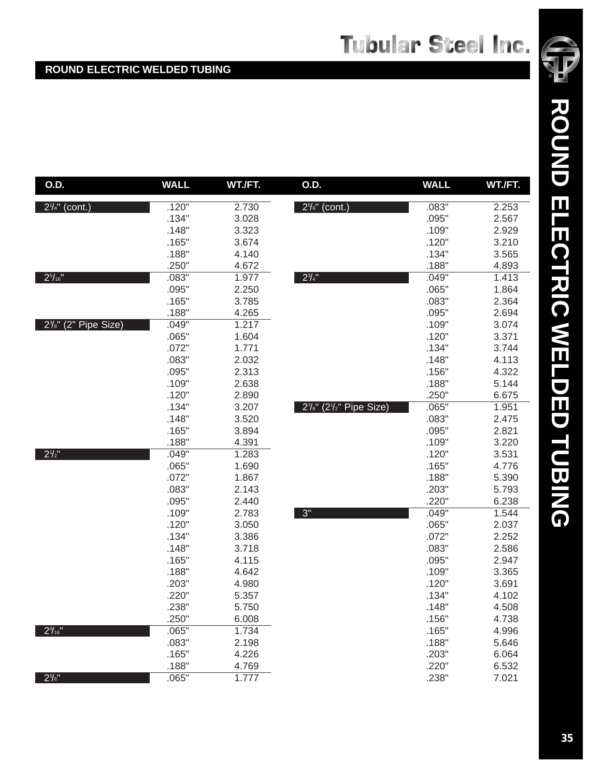| <b>O.D.</b>                     | <b>WALL</b> | WT./FT. | O.D.                    | <b>WALL</b> | WT./FT. |
|---------------------------------|-------------|---------|-------------------------|-------------|---------|
| $2\frac{1}{4}$ " (cont.)        | .120"       | 2.730   | $2^{5/s}$ " (cont.)     | .083"       | 2.253   |
|                                 | .134"       | 3.028   |                         | .095"       | 2.567   |
|                                 | .148"       | 3.323   |                         | .109"       | 2.929   |
|                                 | .165"       | 3.674   |                         | .120"       | 3.210   |
|                                 | .188"       | 4.140   |                         | .134"       | 3.565   |
|                                 | .250"       | 4.672   |                         | .188"       | 4.893   |
| $2^{5}/_{16}$                   | .083"       | 1.977   | $2^{3}/4$               | .049"       | 1.413   |
|                                 | .095"       | 2.250   |                         | .065"       | 1.864   |
|                                 | .165"       | 3.785   |                         | .083"       | 2.364   |
|                                 | .188"       | 4.265   |                         | .095"       | 2.694   |
| $2\frac{3}{8}$ " (2" Pipe Size) | .049"       | 1.217   |                         | .109"       | 3.074   |
|                                 | .065"       | 1.604   |                         | .120"       | 3.371   |
|                                 | .072"       | 1.771   |                         | .134"       | 3.744   |
|                                 | .083"       | 2.032   |                         | .148"       | 4.113   |
|                                 | .095"       | 2.313   |                         | .156"       | 4.322   |
|                                 | .109"       | 2.638   |                         | .188"       | 5.144   |
|                                 | .120"       | 2.890   |                         | .250"       | 6.675   |
|                                 | .134"       | 3.207   | 27/8" (21/2" Pipe Size) | .065"       | 1.951   |
|                                 | .148"       | 3.520   |                         | .083"       | 2.475   |
|                                 | .165"       | 3.894   |                         | .095"       | 2.821   |
|                                 | .188"       | 4.391   |                         | .109"       | 3.220   |
| $2^{1/2}$                       | .049"       | 1.283   |                         | .120"       | 3.531   |
|                                 | .065"       | 1.690   |                         | .165"       | 4.776   |
|                                 | .072"       | 1.867   |                         | .188"       | 5.390   |
|                                 | .083"       | 2.143   |                         | .203"       | 5.793   |
|                                 | .095"       | 2.440   |                         | .220"       | 6.238   |
|                                 | .109"       | 2.783   | 3"                      | .049"       | 1.544   |
|                                 | .120"       | 3.050   |                         | .065"       | 2.037   |
|                                 | .134"       | 3.386   |                         | .072"       | 2.252   |
|                                 | .148"       | 3.718   |                         | .083"       | 2.586   |
|                                 | .165"       | 4.115   |                         | .095"       | 2.947   |
|                                 | .188"       | 4.642   |                         | .109"       | 3.365   |
|                                 | .203"       | 4.980   |                         | .120"       | 3.691   |
|                                 | .220"       | 5.357   |                         | .134"       | 4.102   |
|                                 | .238"       | 5.750   |                         | .148"       | 4.508   |
|                                 | .250"       | 6.008   |                         | .156"       | 4.738   |
| $2\%$ <sup>16"</sup>            | .065"       | 1.734   |                         | .165"       | 4.996   |
|                                 | .083"       | 2.198   |                         | .188"       | 5.646   |
|                                 | .165"       | 4.226   |                         | .203"       | 6.064   |
|                                 | .188"       | 4.769   |                         | .220"       | 6.532   |
| $2^{5}/s$                       | .065"       | 1.777   |                         | .238"       | 7.021   |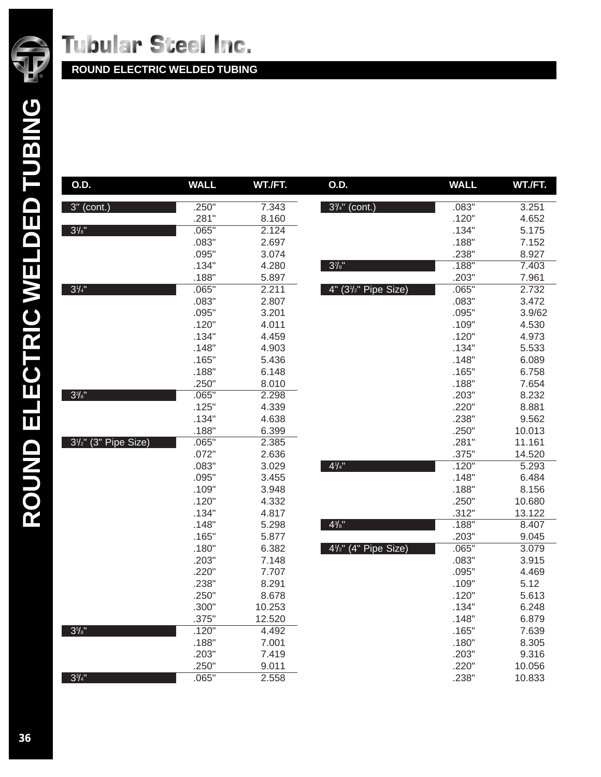

| O.D.                 | <b>WALL</b> | WT./FT. | O.D.                                    | <b>WALL</b> | WT./FT. |
|----------------------|-------------|---------|-----------------------------------------|-------------|---------|
| 3" (cont.)           | .250"       | 7.343   | 3 <sup>3</sup> / <sub>4</sub> " (cont.) | .083"       | 3.251   |
|                      | .281"       | 8.160   |                                         | .120"       | 4.652   |
| $3\frac{1}{8}$       | .065"       | 2.124   |                                         | .134"       | 5.175   |
|                      | .083"       | 2.697   |                                         | .188"       | 7.152   |
|                      | .095"       | 3.074   |                                         | .238"       | 8.927   |
|                      | .134"       | 4.280   | $3^{7}/s$                               | .188"       | 7.403   |
|                      | .188"       | 5.897   |                                         | .203"       | 7.961   |
| $3^{1/4}$            | .065"       | 2.211   | $4"$ ( $3\frac{1}{2}$ " Pipe Size)      | .065"       | 2.732   |
|                      | .083"       | 2.807   |                                         | .083"       | 3.472   |
|                      | .095"       | 3.201   |                                         | .095"       | 3.9/62  |
|                      | .120"       | 4.011   |                                         | .109"       | 4.530   |
|                      | .134"       | 4.459   |                                         | .120"       | 4.973   |
|                      | .148"       | 4.903   |                                         | .134"       | 5.533   |
|                      | .165"       | 5.436   |                                         | .148"       | 6.089   |
|                      | .188"       | 6.148   |                                         | .165"       | 6.758   |
|                      | .250"       | 8.010   |                                         | .188"       | 7.654   |
| $3\frac{3}{8}$ "     | .065"       | 2.298   |                                         | .203"       | 8.232   |
|                      | .125"       | 4.339   |                                         | .220"       | 8.881   |
|                      | .134"       | 4.638   |                                         | .238"       | 9.562   |
|                      | .188"       | 6.399   |                                         | .250"       | 10.013  |
| 31/2" (3" Pipe Size) | .065"       | 2.385   |                                         | .281"       | 11.161  |
|                      | .072"       | 2.636   |                                         | .375"       | 14.520  |
|                      | .083"       | 3.029   | $4^{1/4}$                               | .120"       | 5.293   |
|                      | .095"       | 3.455   |                                         | .148"       | 6.484   |
|                      | .109"       | 3.948   |                                         | .188"       | 8.156   |
|                      | .120"       | 4.332   |                                         | .250"       | 10.680  |
|                      | .134"       | 4.817   |                                         | .312"       | 13.122  |
|                      | .148"       | 5.298   | $4\frac{3}{8}$ "                        | .188"       | 8.407   |
|                      | .165"       | 5.877   |                                         | .203"       | 9.045   |
|                      | .180"       | 6.382   | $4\frac{1}{2}$ " (4" Pipe Size)         | .065"       | 3.079   |
|                      | .203"       | 7.148   |                                         | .083"       | 3.915   |
|                      | .220"       | 7.707   |                                         | .095"       | 4.469   |
|                      | .238"       | 8.291   |                                         | .109"       | 5.12    |
|                      | .250"       | 8.678   |                                         | .120"       | 5.613   |
|                      | .300"       | 10.253  |                                         | .134"       | 6.248   |
|                      | .375"       | 12.520  |                                         | .148"       | 6.879   |
| $3\frac{5}{8}$       | .120"       | 4.492   |                                         | .165"       | 7.639   |
|                      | .188"       | 7.001   |                                         | .180"       | 8.305   |
|                      | .203"       | 7.419   |                                         | .203"       | 9.316   |
|                      | .250"       | 9.011   |                                         | .220"       | 10.056  |
| $3\frac{3}{4}$ "     | .065"       | 2.558   |                                         | .238"       | 10.833  |